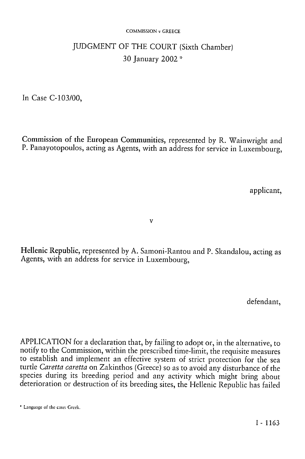#### COMMISSION v GREECE

# JUDGMENT OF THE COURT (Sixth Chamber) 30 January 2002 \*

In Case C-103/00,

Commission of the European Communities, represented by R. Wainwright and P. Panayotopoulos, acting as Agents, with an address for service in Luxembourg,

applicant,

v

Hellenic Republic, represented by A. Samoni-Rantou and P. Skandalou, acting as Agents, with an address for service in Luxembourg,

defendant,

APPLICATION for a declaration that, by failing to adopt or, in the alternative, to notify to the Commission, within the prescribed time-limit, the requisite measures to establish and implement an effective system of strict protection for the sea turtle *Caretta caretta* on Zakinthos (Greece) so as to avoid any disturbance of the species during its breeding period and any activity which might bring about deterioration or destruction of its breeding sites, the Hellenic Republic has failed

<sup>\*</sup> Language of the case: Greek.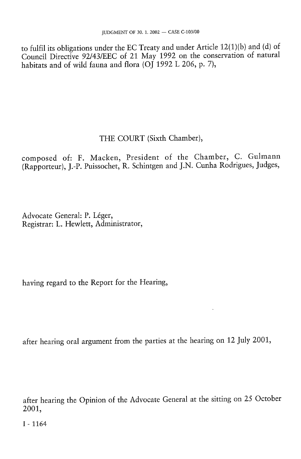to fulfil its obligations under the EC Treaty and under Article 12(1)(b) and (d) of Council Directive 92/43/EEC of 21 May 1992 on the conservation of natural habitats and of wild fauna and flora (OJ 1992 L 206, p. 7),

## THE COURT (Sixth Chamber),

composed of: F. Macken, President of the Chamber, C. Gulmann (Rapporteur), J.-P. Puissochet, R. Schintgen and J.N. Cunha Rodrigues, Judges,

Advocate General: P. Léger, Registrar: L. Hewlett, Administrator,

having regard to the Report for the Hearing,

after hearing oral argument from the parties at the hearing on 12 July 2001,

after hearing the Opinion of the Advocate General at the sitting on 25 October 2001,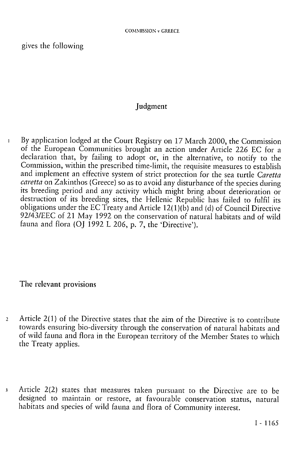gives the following

#### Judgment

1 By application lodged at the Court Registry on 17 March 2000, the Commission of the European Communities brought an action under Article 226 EC for a declaration that, by failing to adopt or, in the alternative, to notify to the Commission, within the prescribed time-limit, the requisite measures to establish and implement an effective system of strict protection for the sea turtle *Caretta caretta* on Zakinthos (Greece) so as to avoid any disturbance of the species during its breeding period and any activity which might bring about deterioration or destruction of its breeding sites, the Hellenic Republic has failed to fulfil its obligations under the EC Treaty and Article 12(1 )(b) and (d) of Council Directive 92/43/EEC of 21 May 1992 on the conservation of natural habitats and of wild fauna and flora (OJ 1992 L 206, p. 7, the 'Directive').

### The relevant provisions

- 2 Article 2(1) of the Directive states that the aim of the Directive is to contribute towards ensuring bio-diversity through the conservation of natural habitats and of wild fauna and flora in the European territory of the Member States to which the Treaty applies.
- 3 Article 2(2) states that measures taken pursuant to the Directive are to be designed to maintain or restore, at favourable conservation status, natural habitats and species of wild fauna and flora of Community interest.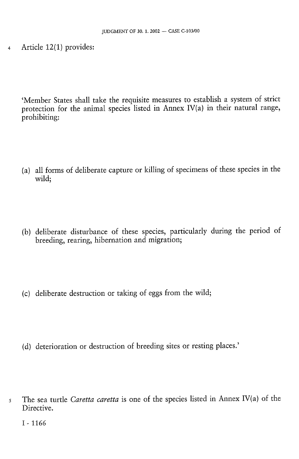4 Article 12(1) provides:

'Member States shall take the requisite measures to establish a system of strict protection for the animal species listed in Annex IV(a) in their natural range, prohibiting:

- (a) all forms of deliberate capture or killing of specimens of these species in the wild;
- (b) deliberate disturbance of these species, particularly during the period of breeding, rearing, hibernation and migration;
- (c) deliberate destruction or taking of eggs from the wild;
- (d) deterioration or destruction of breeding sites or resting places.'
- 5 The sea turtle *Caretta caretta* is one of the species listed in Annex IV(a) of the Directive.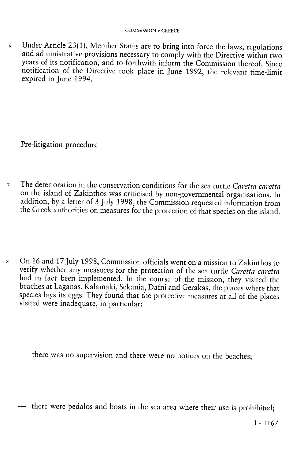6 Under Article 23(1), Member States are to bring into force the laws, regulations and administrative provisions necessary to comply with the Directive within two years of its notification, and to forthwith inform the Commission thereof. Since notification of the Directive took place in June 1992, the relevant time-limit expired in June 1994.

Pre-litigation procedure

- 7 The deterioration in the conservation conditions for the sea turtle *Caretta caretta*  on the island of Zakinthos was criticised by non-governmental organisations. In addition, by a letter of 3 July 1998, the Commission requested information from the Greek authorities on measures for the protection of that species on the island.
- 8 On 16 and 17 July 1998, Commission officials went on a mission to Zakinthos to verify whether any measures for the protection of the sea turtle *Caretta caretta*  had in fact been implemented. In the course of the mission, they visited the beaches at Laganas, Kaļamaki, Sekania, Dafni and Gerakas, the places where that species lays its eggs. They found that the protective measures at all of the places visited were inadequate, in particular:

— there was no supervision and there were no notices on the beaches;

— there were pedalos and boats in the sea area where their use is prohibited;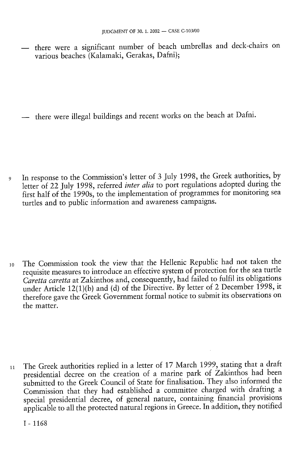there were a significant number of beach umbrellas and deck-chairs on various beaches (Kaļamāki, Gerakas, Dafni);

— there were illegal buildings and recent works on the beach at Dafni.

9 In response to the Commission's letter of 3 July 1998, the Greek authorities, by letter of 22 July 1998, referred *inter alia* to port regulations adopted during the first half of the 1990s, to the implementation of programmes for monitoring sea turtles and to public information and awareness campaigns.

10 The Commission took the view that the Hellenic Republic had not taken the requisite measures to introduce an effective system of protection for the sea turtle *Caretta caretta* at Zakinthos and, consequently, had failed to fulfil its obligations under Article 12(1)(b) and (d) of the Directive. By letter of 2 December 1998, it therefore gave the Greek Government formal notice to submit its observations on the matter.

11 The Greek authorities replied in a letter of 17 March 1999, stating that a draft presidential decree on the creation of a marine park of Zakinthos had been submitted to the Greek Council of State for finalisation. They also informed the Commission that they had established a committee charged with drafting a special presidential decree, of general nature, containing financial provisions applicable to all the protected natural regions in Greece. In addition, they notified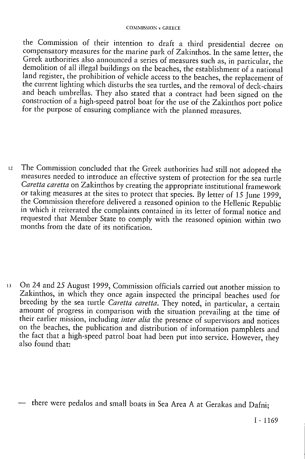#### COMMISSION v GREECE

the Commission of their intention to draft a third presidential decree on compensatory measures for the marine park of Zakinthos. In the same letter, the Greek authorities also announced a series of measures such as, in particular, the demolition of all illegal buildings on the beaches, the establishment of a national land register, the prohibition of vehicle access to the beaches, the replacement of the current lighting which disturbs the sea turtles, and the removal of deck-chairs and beach umbrellas. They also stated that a contract had been signed on the construction of a high-speed patrol boat for the use of the Zakinthos port police for the purpose of ensuring compliance with the planned measures.

12 The Commission concluded that the Greek authorities had still not adopted the measures needed to introduce an effective system of protection for the sea turtle *Caretta caretta* on Zakinthos by creating the appropriate institutional framework or taking measures at the sites to protect that species. By letter of 15 June 1999, the Commission therefore delivered a reasoned opinion to the Hellenic Republic in which it reiterated the complaints contained in its letter of formal notice and requested that Member State to comply with the reasoned opinion within two months from the date of its notification.

13 On 24 and 25 August 1999, Commission officials carried out another mission to Zakinthos, in which they once again inspected the principal beaches used for breeding by the sea turtle *Caretta caretta.* They noted, in particular, a certain amount of progress in comparison with the situation prevailing at the time of their earlier mission, including *inter alia* the presence of supervisors and notices on the beaches, the publication and distribution of information pamphlets and the fact that a high-speed patrol boat had been put into service. However, they also found that:

— there were pédalos and small boats in Sea Area A at Gerakas and Dafni;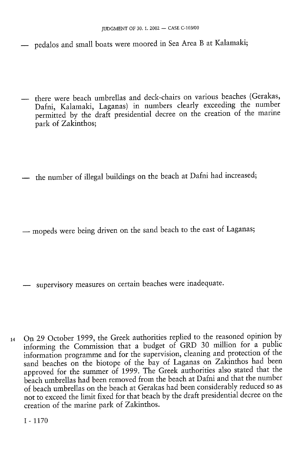- pedalos and small boats were moored in Sea Area B at Kalamaki;
- there were beach umbrellas and deck-chairs on various beaches (Gerakas, Dafni, Kalamaki, Laganas) in numbers clearly exceeding the number permitted by the draft presidential decree on the creation of the marine park of Zakinthos;
- the number of illegal buildings on the beach at Dafni had increased;
- mopeds were being driven on the sand beach to the east of Laganas;

— supervisory measures on certain beaches were inadequate.

14 On 29 October 1999, the Greek authorities replied to the reasoned opinion by informing the Commission that a budget of GRD 30 million for a public information programme and for the supervision, cleaning and protection of the sand beaches on the biotope of the bay of Laganas on Zakinthos had been approved for the summer of 1999. The Greek authorities also stated that the beach umbrellas had been removed from the beach at Dafni and that the number of beach umbrellas on the beach at Gerakas had been considerably reduced so as not to exceed the limit fixed for that beach by the draft presidential decree on the creation of the marine park of Zakinthos.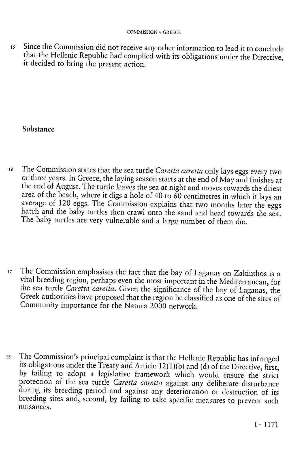15 Since the Commission did not receive any other information to lead it to conclude that the Hellenic Republic had complied with its obligations under the Directive, it decided to bring the present action.

#### Substance

- 16 The Commission states that the sea turtle Caretta caretta only lays eggs every two or three years. In Greece, the laying season starts at the end of May and finishes at the end of August. The turtle leaves the sea at night and moves towards the driest area of the beach, where it digs a hole of 40 to  $60$  centimetres in which it lays an average of 120 eggs. The Commission explains that two months later the eggs hatch and the baby turtles then crawl onto the sand and head towards the sea. The baby turtles are very vulnerable and a large number of them die.
- <sup>17</sup> The Commission emphasises the fact that the bay of Laganas on Zakinthos is a vital breeding region, perhaps even the most important in the Mediterranean, for the sea turtle *Caretta caretta.* Given the significance of the bay of Laganas, the Greek authorities have proposed that the region be classified as one of the sites of Community importance for the Natura 2000 network.
- 18 The Commission's principal complaint is that the Hellenic Republic has infringed its obligations under the Treaty and Article 12(1)(b) and (d) of the Directive, first, by failing to adopt a legislative framework which would ensure the strict protection of the sea turtle *Caretta caretta* against any deliberate disturbance during its breeding period and against any deterioration or destruction of its breeding sites and, second, by failing to take specific measures to prevent such nuisances.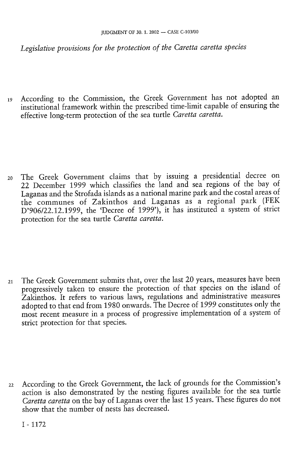*Legislative provisions for the protection of the Caretta caretta species* 

19 According to the Commission, the Greek Government has not adopted an institutional framework within the prescribed time-limit capable of ensuring the effective long-term protection of the sea turtle *Caretta caretta.* 

20 The Greek Government claims that by issuing a presidential decree on 22 December 1999 which classifies the land and sea regions of the bay of Laganas and the Strofada islands as a national marine park and the costal areas of the communes of Zakinthos and Laganas as a regional park (FEK D'906/22.12.1999, the 'Decree of 1999'), it has instituted a system of strict protection for the sea turtle *Caretta caretta.* 

21 The Greek Government submits that, over the last 20 years, measures have been progressively taken to ensure the protection of that species on the island of Zakinthos. It refers to various laws, regulations and administrative measures adopted to that end from 1980 onwards. The Decree of 1999 constitutes only the most recent measure in a process of progressive implementation of a system of strict protection for that species.

22 According to the Greek Government, the lack of grounds for the Commission's action is also demonstrated by the nesting figures available for the sea turtle *Caretta caretta* on the bay of Laganas over the last 15 years. These figures do not show that the number of nests has decreased.

I - 1172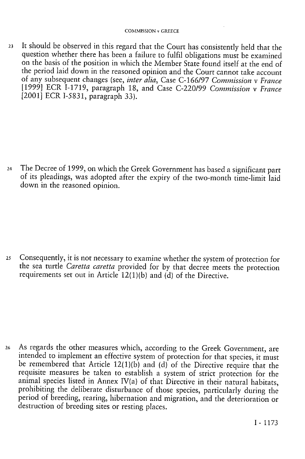23 It should be observed in this regard that the Court has consistently held that the question whether there has been a failure to fulfil obligations must be examined on the basis of the position in which the Member State found itself at the end of the period laid down in the reasoned opinion and the Court cannot take account of any subsequent changes (see, *inter alia,* Case C-166/97 *Commission* v *France*  [1999] ECR 1-1719, paragraph 18, and Case C-220/99 *Commission* v *France*  [2001] ECR 1-5831, paragraph 33).

24 The Decree of 1999, on which the Greek Government has based a significant part of its pleadings, was adopted after the expiry of the two-month time-limit laid down in the reasoned opinion.

25 Consequently, it is not necessary to examine whether the system of protection for the sea turtle *Caretta caretta* provided for by that decree meets the protection requirements set out in Article 12(1)(b) and (d) of the Directive.

26 As regards the other measures which, according to the Greek Government, are intended to implement an effective system of protection for that species, it must be remembered that Article 12(1)(b) and (d) of the Directive require that the requisite measures be taken to establish a system of strict protection for the animal species listed in Annex IV(a) of that Directive in their natural habitats, prohibiting the deliberate disturbance of those species, particularly during the period of breeding, rearing, hibernation and migration, and the deterioration or destruction of breeding sites or resting places.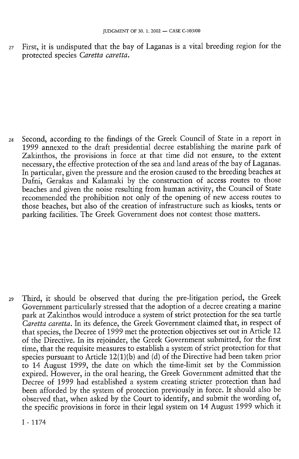27 First, it is undisputed that the bay of Laganas is a vital breeding region for the protected species *Caretta caretta.* 

28 Second, according to the findings of the Greek Council of State in a report in 1999 annexed to the draft presidential decree establishing the marine park of Zakinthos, the provisions in force at that time did not ensure, to the extent necessary, the effective protection of the sea and land areas of the bay of Laganas. In particular, given the pressure and the erosion caused to the breeding beaches at Dafni, Gerakas and Kalamaki by the construction of access routes to those beaches and given the noise resulting from human activity, the Council of State recommended the prohibition not only of the opening of new access routes to those beaches, but also of the creation of infrastructure such as kiosks, tents or parking facilities. The Greek Government does not contest those matters.

29 Third, it should be observed that during the pre-litigation period, the Greek Government particularly stressed that the adoption of a decree creating a marine park at Zakinthos would introduce a system of strict protection for the sea turtle *Caretta caretta.* In its defence, the Greek Government claimed that, in respect of that species, the Decree of 1999 met the protection objectives set out in Article 12 of the Directive. In its rejoinder, the Greek Government submitted, for the first time, that the requisite measures to establish a system of strict protection for that species pursuant to Article 12(1)(b) and (d) of the Directive had been taken prior to 14 August 1999, the date on which the time-limit set by the Commission expired. However, in the oral hearing, the Greek Government admitted that the Decree of 1999 had established a system creating stricter protection than had been afforded by the system of protection previously in force. It should also be observed that, when asked by the Court to identify, and submit the wording of, the specific provisions in force in their legal system on 14 August 1999 which it

I - 1174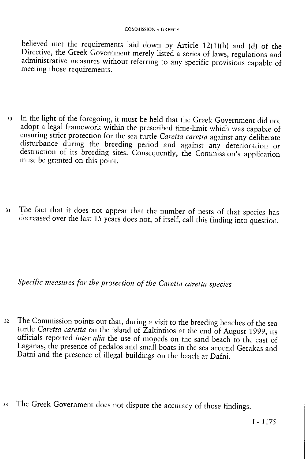believed met the requirements laid down by Article 12(1)(b) and (d) of the Directive, the Greek Government merely listed a series of laws, regulations and administrative measures without referring to any specific provisions capable of meeting those requirements.

- 30 In the light of the foregoing, it must be held that the Greek Government did not adopt a legal framework within the prescribed time-limit which was capable of ensuring strict protection for the sea turtle *Caretta caretta* against any deliberate disturbance during the breeding period and against any deterioration or destruction of its breeding sites. Consequently, the Commission's application must be granted on this point.
- 31 The fact that it does not appear that the number of nests of that species has decreased over the last 15 years does not, of itself, call this finding into question.

*Specific measures for the protection of the Caretta caretta species* 

- 32 The Commission points out that, during a visit to the breeding beaches of the sea turtle *Caretta caretta* on the island of Zakinthos at the end of August 1999, its officials reported *inter alia* the use of mopeds on the sand beach to the east of Laganas, the presence of pedalos and small boats in the sea around Gerakas and Dafni and the presence of illegal buildings on the beach at Dafni.
- 33 The Greek Government does not dispute the accuracy of those findings.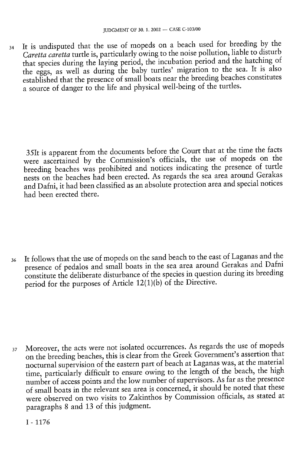34 It is undisputed that the use of mopeds on a beach used for breeding by the *Caretta caretta* turtle is, particularly owing to the noise pollution, liable to disturb that species during the laying period, the incubation period and the hatching of the eggs, as well as during the baby turtles' migration to the sea. It is also established that the presence of small boats near the breeding beaches constitutes a source of danger to the life and physical well-being of the turtles.

35 It is apparent from the documents before the Court that at the time the facts were ascertained by the Commission's officials, the use of mopeds on the breeding beaches was prohibited and notices indicating the presence of turtle nests on the beaches had been erected. As regards the sea area around Gerakas and Dafni, it had been classified as an absolute protection area and special notices had been erected there.

36 It follows that the use of mopeds on the sand beach to the east of Laganas and the presence of pédalos and small boats in the sea area around Gerakas and Dafni constitute the deliberate disturbance of the species in question during its breeding period for the purposes of Article 12(1)(b) of the Directive.

37 Moreover, the acts were not isolated occurrences. As regards the use of mopeds on the breeding beaches, this is clear from the Greek Government's assertion that nocturnal supervision of the eastern part of beach at Laganas was, at the material time, particularly difficult to ensure owing to the length of the beach, the high number of access points and the low number of supervisors. As far as the presence of small boats in the relevant sea area is concerned, it should be noted that these were observed on two visits to Zakinthos by Commission officials, as stated at paragraphs 8 and 13 of this judgment.

I - 1176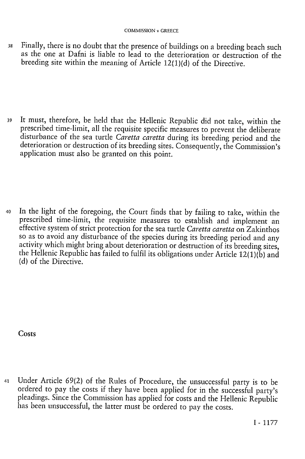38 Finally, there is no doubt that the presence of buildings on a breeding beach such as the one at Dafni is liable to lead to the deterioration or destruction of the breeding site within the meaning of Article 12(1)(d) of the Directive.

39 It must, therefore, be held that the Hellenic Republic did not take, within the prescribed time-limit, all the requisite specific measures to prevent the deliberate disturbance of the sea turtle *Caretta caretta* during its breeding period and the deterioration or destruction of its breeding sites. Consequently, the Commission's application must also be granted on this point.

40 In the light of the foregoing, the Court finds that by failing to take, within the prescribed time-limit, the requisite measures to establish and implement an effective system of strict protection for the sea turtle *Caretta caretta* on Zakinthos so as to avoid any disturbance of the species during its breeding period and any activity which might bring about deterioration or destruction of its breeding sites, the Hellenic Republic has failed to fulfil its obligations under Article  $12(1)(\tilde{b})$  and (d) of the Directive.

**Costs** 

41 Under Article 69(2) of the Rules of Procedure, the unsuccessful party is to be ordered to pay the costs if they have been applied for in the successful party's pleadings. Since the Commission has applied for costs and the Hellenic Republic has been unsuccessful, the latter must be ordered to pay the costs.